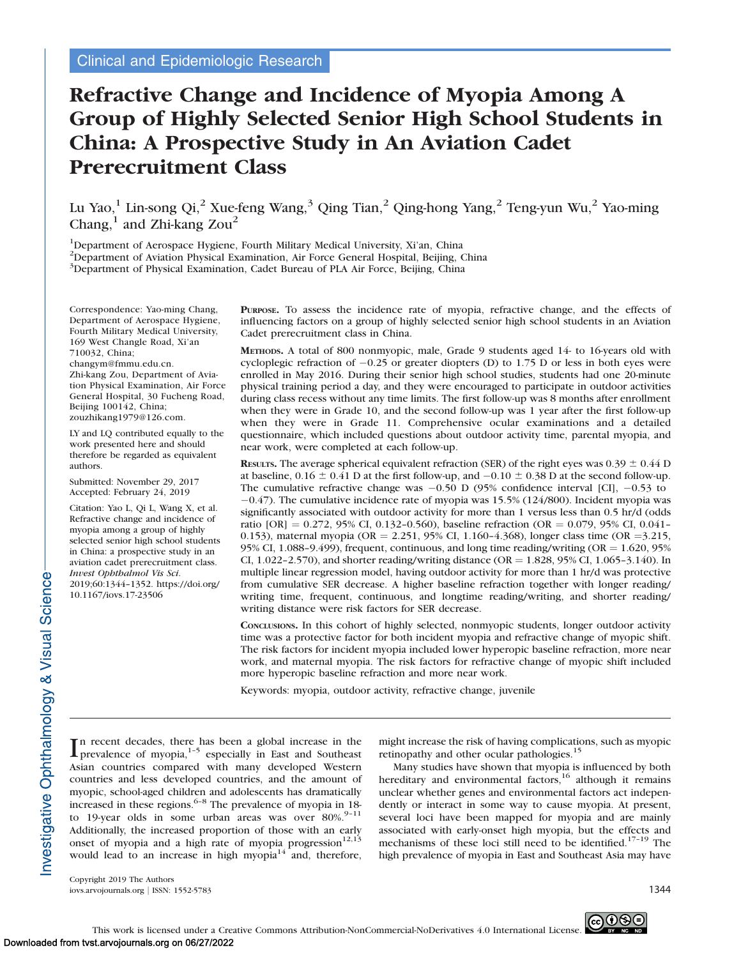# Refractive Change and Incidence of Myopia Among A Group of Highly Selected Senior High School Students in China: A Prospective Study in An Aviation Cadet Prerecruitment Class

Lu Yao,<sup>1</sup> Lin-song Qi,<sup>2</sup> Xue-feng Wang,<sup>3</sup> Qing Tian,<sup>2</sup> Qing-hong Yang,<sup>2</sup> Teng-yun Wu,<sup>2</sup> Yao-ming Chang, $<sup>1</sup>$  and Zhi-kang Zou<sup>2</sup></sup>

<sup>1</sup>Department of Aerospace Hygiene, Fourth Military Medical University, Xi'an, China

<sup>2</sup>Department of Aviation Physical Examination, Air Force General Hospital, Beijing, China

<sup>3</sup>Department of Physical Examination, Cadet Bureau of PLA Air Force, Beijing, China

Correspondence: Yao-ming Chang, Department of Aerospace Hygiene, Fourth Military Medical University, 169 West Changle Road, Xi'an 710032, China;

changym@fmmu.edu.cn.

Zhi-kang Zou, Department of Aviation Physical Examination, Air Force General Hospital, 30 Fucheng Road, Beijing 100142, China; zouzhikang1979@126.com.

LY and LQ contributed equally to the work presented here and should therefore be regarded as equivalent authors.

Submitted: November 29, 2017 Accepted: February 24, 2019

Citation: Yao L, Qi L, Wang X, et al. Refractive change and incidence of myopia among a group of highly selected senior high school students in China: a prospective study in an aviation cadet prerecruitment class. Invest Ophthalmol Vis Sci. 2019;60:1344–1352. https://doi.org/ 10.1167/iovs.17-23506

PURPOSE. To assess the incidence rate of myopia, refractive change, and the effects of influencing factors on a group of highly selected senior high school students in an Aviation Cadet prerecruitment class in China.

METHODS. A total of 800 nonmyopic, male, Grade 9 students aged 14- to 16-years old with cycloplegic refraction of  $-0.25$  or greater diopters (D) to 1.75 D or less in both eyes were enrolled in May 2016. During their senior high school studies, students had one 20-minute physical training period a day, and they were encouraged to participate in outdoor activities during class recess without any time limits. The first follow-up was 8 months after enrollment when they were in Grade 10, and the second follow-up was 1 year after the first follow-up when they were in Grade 11. Comprehensive ocular examinations and a detailed questionnaire, which included questions about outdoor activity time, parental myopia, and near work, were completed at each follow-up.

**RESULTS.** The average spherical equivalent refraction (SER) of the right eyes was  $0.39 \pm 0.44$  D at baseline,  $0.16 \pm 0.41$  D at the first follow-up, and  $-0.10 \pm 0.38$  D at the second follow-up. The cumulative refractive change was  $-0.50$  D (95% confidence interval [CI],  $-0.53$  to -0.47). The cumulative incidence rate of myopia was 15.5% (124/800). Incident myopia was significantly associated with outdoor activity for more than 1 versus less than 0.5 hr/d (odds ratio [OR] = 0.272, 95% CI, 0.132-0.560), baseline refraction (OR = 0.079, 95% CI, 0.041-0.153), maternal myopia (OR = 2.251, 95% CI, 1.160-4.368), longer class time (OR = 3.215, 95% CI, 1.088-9.499), frequent, continuous, and long time reading/writing (OR  $= 1.620, 95%$ CI,  $1.022 - 2.570$ , and shorter reading/writing distance (OR = 1.828, 95% CI, 1.065-3.140). In multiple linear regression model, having outdoor activity for more than 1 hr/d was protective from cumulative SER decrease. A higher baseline refraction together with longer reading/ writing time, frequent, continuous, and longtime reading/writing, and shorter reading/ writing distance were risk factors for SER decrease.

CONCLUSIONS. In this cohort of highly selected, nonmyopic students, longer outdoor activity time was a protective factor for both incident myopia and refractive change of myopic shift. The risk factors for incident myopia included lower hyperopic baseline refraction, more near work, and maternal myopia. The risk factors for refractive change of myopic shift included more hyperopic baseline refraction and more near work.

Keywords: myopia, outdoor activity, refractive change, juvenile

In recent decades, there has been a global increase in the prevalence of myopia, $1-5$  especially in East and Southeast prevalence of myopia,<sup>1-5</sup> especially in East and Southeast Asian countries compared with many developed Western countries and less developed countries, and the amount of myopic, school-aged children and adolescents has dramatically increased in these regions. $6-8$  The prevalence of myopia in 18to 19-year olds in some urban areas was over  $80\%^{9-11}$ Additionally, the increased proportion of those with an early onset of myopia and a high rate of myopia progression<sup>12,13</sup> would lead to an increase in high myopia $14$  and, therefore,

might increase the risk of having complications, such as myopic retinopathy and other ocular pathologies.<sup>15</sup>

Many studies have shown that myopia is influenced by both hereditary and environmental factors, $16$  although it remains unclear whether genes and environmental factors act independently or interact in some way to cause myopia. At present, several loci have been mapped for myopia and are mainly associated with early-onset high myopia, but the effects and mechanisms of these loci still need to be identified.<sup>17-19</sup> The high prevalence of myopia in East and Southeast Asia may have

Copyright 2019 The Authors iovs.arvojournals.org j ISSN: 1552-5783 1344

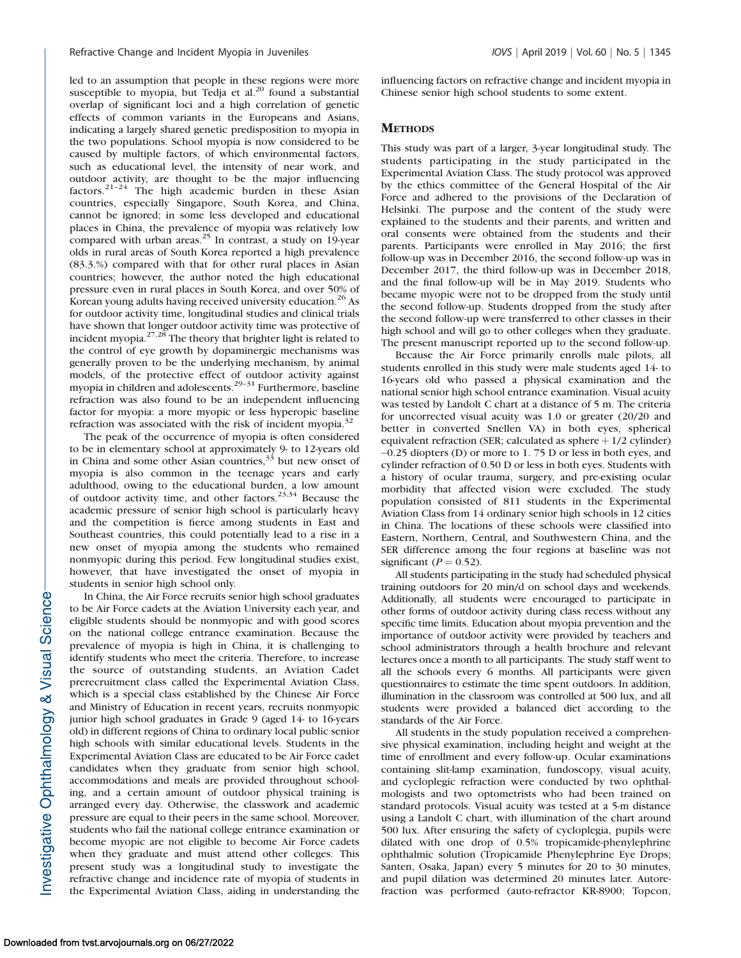led to an assumption that people in these regions were more susceptible to myopia, but Tedja et al. $^{20}$  found a substantial overlap of significant loci and a high correlation of genetic effects of common variants in the Europeans and Asians, indicating a largely shared genetic predisposition to myopia in the two populations. School myopia is now considered to be caused by multiple factors, of which environmental factors, such as educational level, the intensity of near work, and outdoor activity, are thought to be the major influencing factors. $2^{1-24}$  The high academic burden in these Asian countries, especially Singapore, South Korea, and China, cannot be ignored; in some less developed and educational places in China, the prevalence of myopia was relatively low compared with urban areas. $25$  In contrast, a study on 19-year olds in rural areas of South Korea reported a high prevalence (83.3.%) compared with that for other rural places in Asian countries; however, the author noted the high educational pressure even in rural places in South Korea, and over 50% of Korean young adults having received university education.<sup>26</sup> As for outdoor activity time, longitudinal studies and clinical trials have shown that longer outdoor activity time was protective of incident myopia.27,28 The theory that brighter light is related to the control of eye growth by dopaminergic mechanisms was generally proven to be the underlying mechanism, by animal models, of the protective effect of outdoor activity against myopia in children and adolescents.<sup>29-31</sup> Furthermore, baseline refraction was also found to be an independent influencing factor for myopia: a more myopic or less hyperopic baseline refraction was associated with the risk of incident myopia. $32$ 

The peak of the occurrence of myopia is often considered to be in elementary school at approximately 9- to 12-years old in China and some other Asian countries,  $33$  but new onset of myopia is also common in the teenage years and early adulthood, owing to the educational burden, a low amount of outdoor activity time, and other factors.<sup>23,34</sup> Because the academic pressure of senior high school is particularly heavy and the competition is fierce among students in East and Southeast countries, this could potentially lead to a rise in a new onset of myopia among the students who remained nonmyopic during this period. Few longitudinal studies exist, however, that have investigated the onset of myopia in students in senior high school only.

In China, the Air Force recruits senior high school graduates to be Air Force cadets at the Aviation University each year, and eligible students should be nonmyopic and with good scores on the national college entrance examination. Because the prevalence of myopia is high in China, it is challenging to identify students who meet the criteria. Therefore, to increase the source of outstanding students, an Aviation Cadet prerecruitment class called the Experimental Aviation Class, which is a special class established by the Chinese Air Force and Ministry of Education in recent years, recruits nonmyopic junior high school graduates in Grade 9 (aged 14- to 16-years old) in different regions of China to ordinary local public senior high schools with similar educational levels. Students in the Experimental Aviation Class are educated to be Air Force cadet candidates when they graduate from senior high school, accommodations and meals are provided throughout schooling, and a certain amount of outdoor physical training is arranged every day. Otherwise, the classwork and academic pressure are equal to their peers in the same school. Moreover, students who fail the national college entrance examination or become myopic are not eligible to become Air Force cadets when they graduate and must attend other colleges. This present study was a longitudinal study to investigate the refractive change and incidence rate of myopia of students in the Experimental Aviation Class, aiding in understanding the influencing factors on refractive change and incident myopia in Chinese senior high school students to some extent.

## **METHODS**

This study was part of a larger, 3-year longitudinal study. The students participating in the study participated in the Experimental Aviation Class. The study protocol was approved by the ethics committee of the General Hospital of the Air Force and adhered to the provisions of the Declaration of Helsinki. The purpose and the content of the study were explained to the students and their parents, and written and oral consents were obtained from the students and their parents. Participants were enrolled in May 2016; the first follow-up was in December 2016, the second follow-up was in December 2017, the third follow-up was in December 2018, and the final follow-up will be in May 2019. Students who became myopic were not to be dropped from the study until the second follow-up. Students dropped from the study after the second follow-up were transferred to other classes in their high school and will go to other colleges when they graduate. The present manuscript reported up to the second follow-up.

Because the Air Force primarily enrolls male pilots, all students enrolled in this study were male students aged 14- to 16-years old who passed a physical examination and the national senior high school entrance examination. Visual acuity was tested by Landolt C chart at a distance of 5 m. The criteria for uncorrected visual acuity was 1.0 or greater (20/20 and better in converted Snellen VA) in both eyes, spherical equivalent refraction (SER; calculated as sphere  $+1/2$  cylinder) -0.25 diopters (D) or more to 1. 75 D or less in both eyes, and cylinder refraction of 0.50 D or less in both eyes. Students with a history of ocular trauma, surgery, and pre-existing ocular morbidity that affected vision were excluded. The study population consisted of 811 students in the Experimental Aviation Class from 14 ordinary senior high schools in 12 cities in China. The locations of these schools were classified into Eastern, Northern, Central, and Southwestern China, and the SER difference among the four regions at baseline was not significant ( $P = 0.52$ ).

All students participating in the study had scheduled physical training outdoors for 20 min/d on school days and weekends. Additionally, all students were encouraged to participate in other forms of outdoor activity during class recess without any specific time limits. Education about myopia prevention and the importance of outdoor activity were provided by teachers and school administrators through a health brochure and relevant lectures once a month to all participants. The study staff went to all the schools every 6 months. All participants were given questionnaires to estimate the time spent outdoors. In addition, illumination in the classroom was controlled at 500 lux, and all students were provided a balanced diet according to the standards of the Air Force.

All students in the study population received a comprehensive physical examination, including height and weight at the time of enrollment and every follow-up. Ocular examinations containing slit-lamp examination, fundoscopy, visual acuity, and cycloplegic refraction were conducted by two ophthalmologists and two optometrists who had been trained on standard protocols. Visual acuity was tested at a 5-m distance using a Landolt C chart, with illumination of the chart around 500 lux. After ensuring the safety of cycloplegia, pupils were dilated with one drop of 0.5% tropicamide-phenylephrine ophthalmic solution (Tropicamide Phenylephrine Eye Drops; Santen, Osaka, Japan) every 5 minutes for 20 to 30 minutes, and pupil dilation was determined 20 minutes later. Autorefraction was performed (auto-refractor KR-8900; Topcon,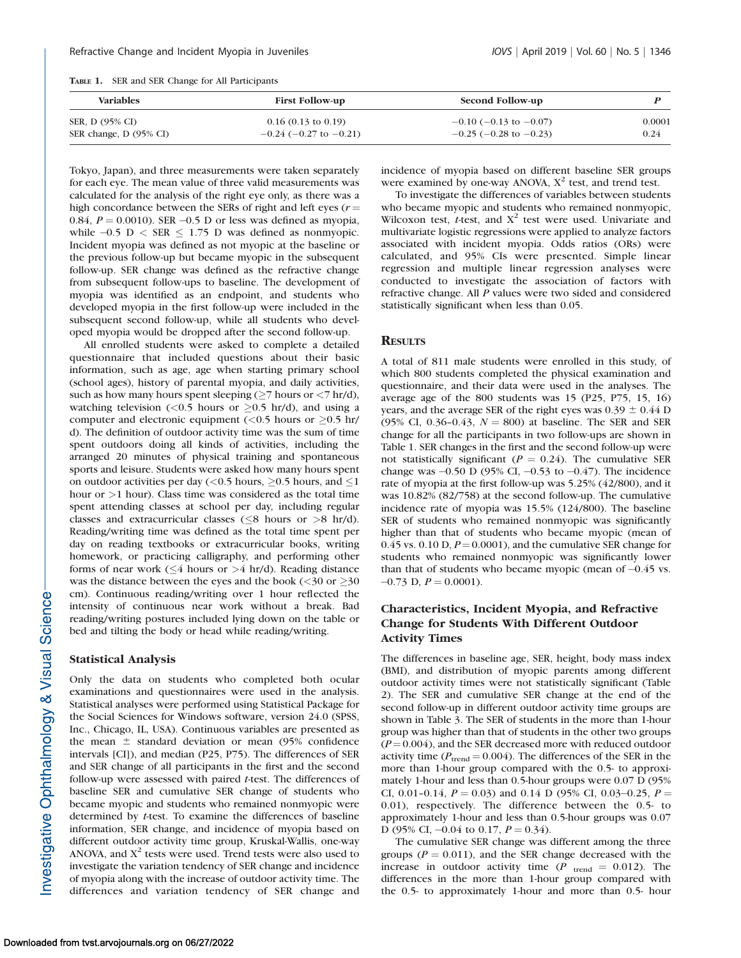| TABLE 1. |  |  |  |  |  | SER and SER Change for All Participants |
|----------|--|--|--|--|--|-----------------------------------------|
|----------|--|--|--|--|--|-----------------------------------------|

| <b>Variables</b>       | <b>First Follow-up</b>   | Second Follow-up               |        |
|------------------------|--------------------------|--------------------------------|--------|
| SER, D (95% CI)        | $0.16$ (0.13 to 0.19)    | $-0.10$ ( $-0.13$ to $-0.07$ ) | 0.0001 |
| SER change, D (95% CI) | $-0.24$ (-0.27 to -0.21) | $-0.25$ ( $-0.28$ to $-0.23$ ) | 0.24   |

Tokyo, Japan), and three measurements were taken separately for each eye. The mean value of three valid measurements was calculated for the analysis of the right eye only, as there was a high concordance between the SERs of right and left eyes ( $r =$ 0.84,  $P = 0.0010$ ). SER  $-0.5$  D or less was defined as myopia, while  $-0.5$  D < SER  $\leq$  1.75 D was defined as nonmyopic. Incident myopia was defined as not myopic at the baseline or the previous follow-up but became myopic in the subsequent follow-up. SER change was defined as the refractive change from subsequent follow-ups to baseline. The development of myopia was identified as an endpoint, and students who developed myopia in the first follow-up were included in the subsequent second follow-up, while all students who developed myopia would be dropped after the second follow-up.

All enrolled students were asked to complete a detailed questionnaire that included questions about their basic information, such as age, age when starting primary school (school ages), history of parental myopia, and daily activities, such as how many hours spent sleeping  $(\geq 7$  hours or  $\leq 7$  hr/d), watching television (<0.5 hours or  $\geq$ 0.5 hr/d), and using a computer and electronic equipment (<0.5 hours or  $\geq$ 0.5 hr/ d). The definition of outdoor activity time was the sum of time spent outdoors doing all kinds of activities, including the arranged 20 minutes of physical training and spontaneous sports and leisure. Students were asked how many hours spent on outdoor activities per day ( $\langle 0.5 \text{ hours}, \rangle 0.5$  hours, and  $\langle 1 \rangle$ hour or >1 hour). Class time was considered as the total time spent attending classes at school per day, including regular classes and extracurricular classes ( $\leq 8$  hours or  $> 8$  hr/d). Reading/writing time was defined as the total time spent per day on reading textbooks or extracurricular books, writing homework, or practicing calligraphy, and performing other forms of near work ( $\leq$ 4 hours or >4 hr/d). Reading distance was the distance between the eyes and the book ( $\leq 30$  or  $\geq 30$ cm). Continuous reading/writing over 1 hour reflected the intensity of continuous near work without a break. Bad reading/writing postures included lying down on the table or bed and tilting the body or head while reading/writing.

#### Statistical Analysis

Only the data on students who completed both ocular examinations and questionnaires were used in the analysis. Statistical analyses were performed using Statistical Package for the Social Sciences for Windows software, version 24.0 (SPSS, Inc., Chicago, IL, USA). Continuous variables are presented as the mean  $\pm$  standard deviation or mean (95% confidence intervals [CI]), and median (P25, P75). The differences of SER and SER change of all participants in the first and the second follow-up were assessed with paired t-test. The differences of baseline SER and cumulative SER change of students who became myopic and students who remained nonmyopic were determined by t-test. To examine the differences of baseline information, SER change, and incidence of myopia based on different outdoor activity time group, Kruskal-Wallis, one-way ANOVA, and  $X^2$  tests were used. Trend tests were also used to investigate the variation tendency of SER change and incidence of myopia along with the increase of outdoor activity time. The differences and variation tendency of SER change and

incidence of myopia based on different baseline SER groups were examined by one-way ANOVA,  $X^2$  test, and trend test.

To investigate the differences of variables between students who became myopic and students who remained nonmyopic, Wilcoxon test, *t*-test, and  $X^2$  test were used. Univariate and multivariate logistic regressions were applied to analyze factors associated with incident myopia. Odds ratios (ORs) were calculated, and 95% CIs were presented. Simple linear regression and multiple linear regression analyses were conducted to investigate the association of factors with refractive change. All P values were two sided and considered statistically significant when less than 0.05.

### **RESULTS**

A total of 811 male students were enrolled in this study, of which 800 students completed the physical examination and questionnaire, and their data were used in the analyses. The average age of the 800 students was 15 (P25, P75, 15, 16) years, and the average SER of the right eyes was  $0.39 \pm 0.44$  D (95% CI, 0.36-0.43,  $N = 800$ ) at baseline. The SER and SER change for all the participants in two follow-ups are shown in Table 1. SER changes in the first and the second follow-up were not statistically significant ( $P = 0.24$ ). The cumulative SER change was  $-0.50$  D (95% CI,  $-0.53$  to  $-0.47$ ). The incidence rate of myopia at the first follow-up was 5.25% (42/800), and it was 10.82% (82/758) at the second follow-up. The cumulative incidence rate of myopia was 15.5% (124/800). The baseline SER of students who remained nonmyopic was significantly higher than that of students who became myopic (mean of 0.45 vs. 0.10 D,  $P = 0.0001$ ), and the cumulative SER change for students who remained nonmyopic was significantly lower than that of students who became myopic (mean of  $-0.45$  vs.  $-0.73$  D,  $P = 0.0001$ ).

# Characteristics, Incident Myopia, and Refractive Change for Students With Different Outdoor Activity Times

The differences in baseline age, SER, height, body mass index (BMI), and distribution of myopic parents among different outdoor activity times were not statistically significant (Table 2). The SER and cumulative SER change at the end of the second follow-up in different outdoor activity time groups are shown in Table 3. The SER of students in the more than 1-hour group was higher than that of students in the other two groups  $(P=0.004)$ , and the SER decreased more with reduced outdoor activity time ( $P_{\text{trend}} = 0.004$ ). The differences of the SER in the more than 1-hour group compared with the 0.5- to approximately 1-hour and less than 0.5-hour groups were 0.07 D (95% CI, 0.01-0.14,  $P = 0.03$ ) and 0.14 D (95% CI, 0.03-0.25,  $P =$ 0.01), respectively. The difference between the 0.5- to approximately 1-hour and less than 0.5-hour groups was 0.07 D (95% CI,  $-0.04$  to 0.17,  $P = 0.34$ ).

The cumulative SER change was different among the three groups ( $P = 0.011$ ), and the SER change decreased with the increase in outdoor activity time ( $P$ <sub>trend</sub> = 0.012). The differences in the more than 1-hour group compared with the 0.5- to approximately 1-hour and more than 0.5- hour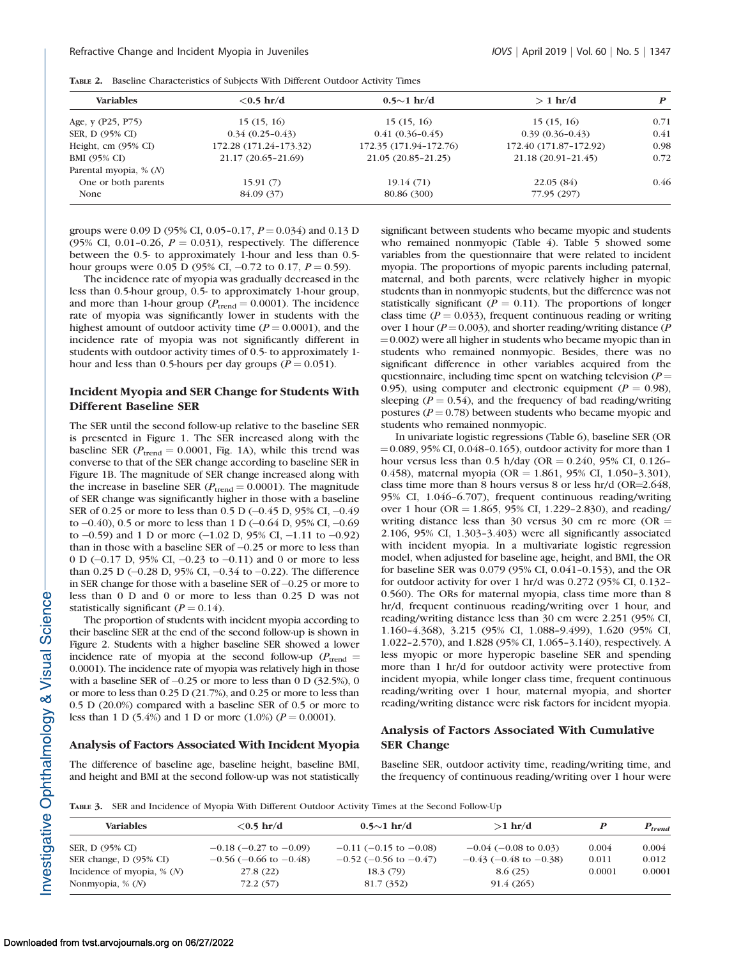| <b>Variables</b>               | $< 0.5$ hr/d           | $0.5 \sim 1$ hr/d      | $>1$ hr/d              | P    |
|--------------------------------|------------------------|------------------------|------------------------|------|
| Age, y (P25, P75)              | 15(15, 16)             | 15(15, 16)             | 15(15, 16)             | 0.71 |
| SER, D (95% CI)                | $0.34(0.25-0.43)$      | $0.41(0.36-0.45)$      | $0.39(0.36-0.43)$      | 0.41 |
| Height, cm $(95\% \text{ CI})$ | 172.28 (171.24-173.32) | 172.35 (171.94-172.76) | 172.40 (171.87-172.92) | 0.98 |
| <b>BMI</b> (95% CI)            | 21.17 (20.65-21.69)    | $21.05(20.85 - 21.25)$ | 21.18 (20.91-21.45)    | 0.72 |
| Parental myopia, $\%$ (N)      |                        |                        |                        |      |
| One or both parents            | 15.91(7)               | 19.14(71)              | 22.05(84)              | 0.46 |
| None                           | 84.09 (37)             | 80.86 (300)            | 77.95 (297)            |      |

TABLE 2. Baseline Characteristics of Subjects With Different Outdoor Activity Times

groups were 0.09 D (95% CI, 0.05-0.17,  $P = 0.034$ ) and 0.13 D (95% CI, 0.01-0.26,  $P = 0.031$ ), respectively. The difference between the 0.5- to approximately 1-hour and less than 0.5 hour groups were 0.05 D (95% CI,  $-0.72$  to 0.17,  $P = 0.59$ ).

The incidence rate of myopia was gradually decreased in the less than 0.5-hour group, 0.5- to approximately 1-hour group, and more than 1-hour group ( $P_{\text{trend}} = 0.0001$ ). The incidence rate of myopia was significantly lower in students with the highest amount of outdoor activity time ( $P = 0.0001$ ), and the incidence rate of myopia was not significantly different in students with outdoor activity times of 0.5- to approximately 1 hour and less than 0.5-hours per day groups ( $P = 0.051$ ).

## Incident Myopia and SER Change for Students With Different Baseline SER

The SER until the second follow-up relative to the baseline SER is presented in Figure 1. The SER increased along with the baseline SER ( $P_{\text{trend}} = 0.0001$ , Fig. 1A), while this trend was converse to that of the SER change according to baseline SER in Figure 1B. The magnitude of SER change increased along with the increase in baseline SER ( $P_{\text{trend}} = 0.0001$ ). The magnitude of SER change was significantly higher in those with a baseline SER of 0.25 or more to less than 0.5 D (-0.45 D, 95% CI, -0.49) to -0.40), 0.5 or more to less than 1 D (-0.64 D, 95% CI, -0.69 to  $-0.59$ ) and 1 D or more  $(-1.02 \text{ D}, 95\% \text{ CI}, -1.11 \text{ to } -0.92)$ than in those with a baseline SER of  $-0.25$  or more to less than 0 D (-0.17 D, 95% CI, -0.23 to -0.11) and 0 or more to less than 0.25 D (-0.28 D, 95% CI, -0.34 to -0.22). The difference in SER change for those with a baseline SER of-0.25 or more to less than 0 D and 0 or more to less than 0.25 D was not statistically significant ( $P = 0.14$ ).

The proportion of students with incident myopia according to their baseline SER at the end of the second follow-up is shown in Figure 2. Students with a higher baseline SER showed a lower incidence rate of myopia at the second follow-up ( $P_{\text{trend}} =$ 0.0001). The incidence rate of myopia was relatively high in those with a baseline SER of  $-0.25$  or more to less than 0 D (32.5%), 0 or more to less than 0.25 D (21.7%), and 0.25 or more to less than 0.5 D (20.0%) compared with a baseline SER of 0.5 or more to less than 1 D (5.4%) and 1 D or more (1.0%) ( $P = 0.0001$ ).

### Analysis of Factors Associated With Incident Myopia

The difference of baseline age, baseline height, baseline BMI, and height and BMI at the second follow-up was not statistically significant between students who became myopic and students who remained nonmyopic (Table 4). Table 5 showed some variables from the questionnaire that were related to incident myopia. The proportions of myopic parents including paternal, maternal, and both parents, were relatively higher in myopic students than in nonmyopic students, but the difference was not statistically significant ( $P = 0.11$ ). The proportions of longer class time ( $P = 0.033$ ), frequent continuous reading or writing over 1 hour ( $P = 0.003$ ), and shorter reading/writing distance (P  $(0.002)$  were all higher in students who became myopic than in students who remained nonmyopic. Besides, there was no significant difference in other variables acquired from the questionnaire, including time spent on watching television ( $P =$ 0.95), using computer and electronic equipment ( $P = 0.98$ ), sleeping ( $P = 0.54$ ), and the frequency of bad reading/writing postures ( $P = 0.78$ ) between students who became myopic and students who remained nonmyopic.

In univariate logistic regressions (Table 6), baseline SER (OR  $\mu = 0.089, 95\% \text{ CI}, 0.048 - 0.165$ , outdoor activity for more than 1 hour versus less than 0.5 h/day (OR =  $0.240$ , 95% CI, 0.126– 0.458), maternal myopia (OR = 1.861, 95% CI, 1.050-3.301), class time more than 8 hours versus 8 or less hr/d  $(OR=2.648,$ 95% CI, 1.046–6.707), frequent continuous reading/writing over 1 hour (OR = 1.865, 95% CI, 1.229-2.830), and reading/ writing distance less than 30 versus 30 cm re more (OR  $=$ 2.106, 95% CI, 1.303–3.403) were all significantly associated with incident myopia. In a multivariate logistic regression model, when adjusted for baseline age, height, and BMI, the OR for baseline SER was 0.079 (95% CI, 0.041–0.153), and the OR for outdoor activity for over 1 hr/d was 0.272 (95% CI, 0.132– 0.560). The ORs for maternal myopia, class time more than 8 hr/d, frequent continuous reading/writing over 1 hour, and reading/writing distance less than 30 cm were 2.251 (95% CI, 1.160–4.368), 3.215 (95% CI, 1.088–9.499), 1.620 (95% CI, 1.022–2.570), and 1.828 (95% CI, 1.065–3.140), respectively. A less myopic or more hyperopic baseline SER and spending more than 1 hr/d for outdoor activity were protective from incident myopia, while longer class time, frequent continuous reading/writing over 1 hour, maternal myopia, and shorter reading/writing distance were risk factors for incident myopia.

## Analysis of Factors Associated With Cumulative SER Change

Baseline SER, outdoor activity time, reading/writing time, and the frequency of continuous reading/writing over 1 hour were

TABLE 3. SER and Incidence of Myopia With Different Outdoor Activity Times at the Second Follow-Up

| <b>Variables</b>                                       | $<$ 0.5 hr/d                   | $0.5 \sim 1$ hr/d           | $>1$ hr/d                  | P      | $P_{trend}$ |
|--------------------------------------------------------|--------------------------------|-----------------------------|----------------------------|--------|-------------|
| SER, D (95% CI)                                        | $-0.18$ ( $-0.27$ to $-0.09$ ) | $-0.11$ (-0.15 to $-0.08$ ) | $-0.04$ ( $-0.08$ to 0.03) | 0.004  | 0.004       |
| SER change, D (95% CI)                                 | $-0.56$ ( $-0.66$ to $-0.48$ ) | $-0.52$ (-0.56 to -0.47)    | $-0.43$ (-0.48 to -0.38)   | 0.011  | 0.012       |
| Incidence of myopia, $\%$ (N)<br>Nonmyopia, $\%$ $(N)$ | 27.8(22)<br>72.2(57)           | 18.3(79)<br>81.7 (352)      | 8.6(25)<br>91.4(265)       | 0.0001 | 0.0001      |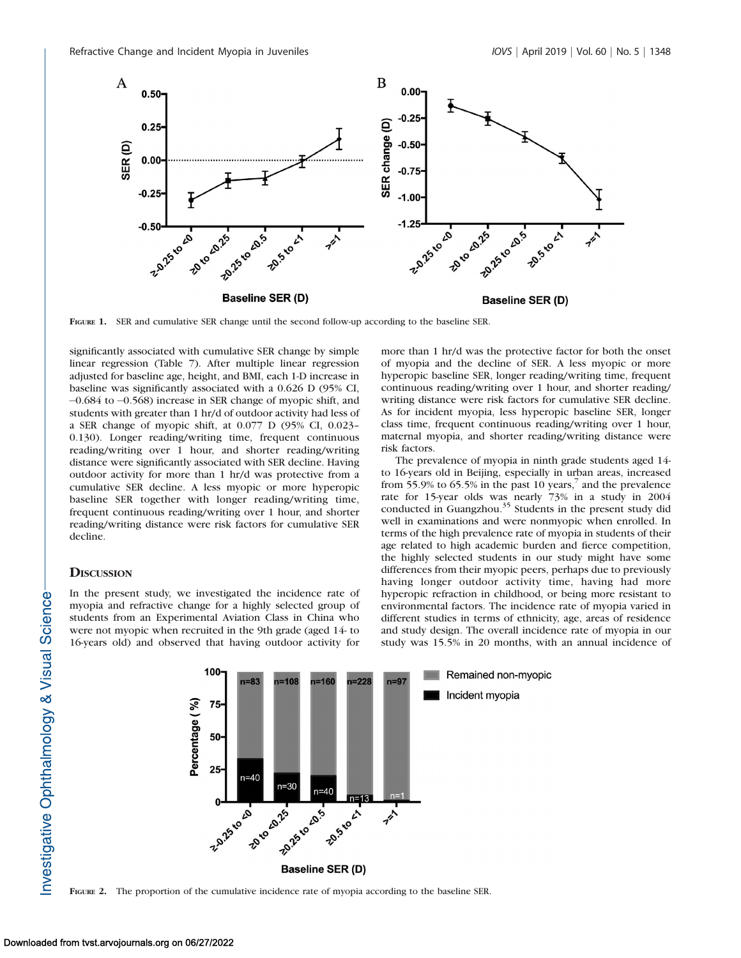

FIGURE 1. SER and cumulative SER change until the second follow-up according to the baseline SER.

significantly associated with cumulative SER change by simple linear regression (Table 7). After multiple linear regression adjusted for baseline age, height, and BMI, each 1-D increase in baseline was significantly associated with a 0.626 D (95% CI, -0.684 to -0.568) increase in SER change of myopic shift, and students with greater than 1 hr/d of outdoor activity had less of a SER change of myopic shift, at 0.077 D (95% CI, 0.023– 0.130). Longer reading/writing time, frequent continuous reading/writing over 1 hour, and shorter reading/writing distance were significantly associated with SER decline. Having outdoor activity for more than 1 hr/d was protective from a cumulative SER decline. A less myopic or more hyperopic baseline SER together with longer reading/writing time, frequent continuous reading/writing over 1 hour, and shorter reading/writing distance were risk factors for cumulative SER decline.

## **DISCUSSION**

In the present study, we investigated the incidence rate of myopia and refractive change for a highly selected group of students from an Experimental Aviation Class in China who were not myopic when recruited in the 9th grade (aged 14- to 16-years old) and observed that having outdoor activity for more than 1 hr/d was the protective factor for both the onset of myopia and the decline of SER. A less myopic or more hyperopic baseline SER, longer reading/writing time, frequent continuous reading/writing over 1 hour, and shorter reading/ writing distance were risk factors for cumulative SER decline. As for incident myopia, less hyperopic baseline SER, longer class time, frequent continuous reading/writing over 1 hour, maternal myopia, and shorter reading/writing distance were risk factors.

The prevalence of myopia in ninth grade students aged 14 to 16-years old in Beijing, especially in urban areas, increased from 55.9% to 65.5% in the past 10 years,<sup>7</sup> and the prevalence rate for 15-year olds was nearly 73% in a study in 2004 conducted in Guangzhou.<sup>35</sup> Students in the present study did well in examinations and were nonmyopic when enrolled. In terms of the high prevalence rate of myopia in students of their age related to high academic burden and fierce competition, the highly selected students in our study might have some differences from their myopic peers, perhaps due to previously having longer outdoor activity time, having had more hyperopic refraction in childhood, or being more resistant to environmental factors. The incidence rate of myopia varied in different studies in terms of ethnicity, age, areas of residence and study design. The overall incidence rate of myopia in our study was 15.5% in 20 months, with an annual incidence of



FIGURE 2. The proportion of the cumulative incidence rate of myopia according to the baseline SER.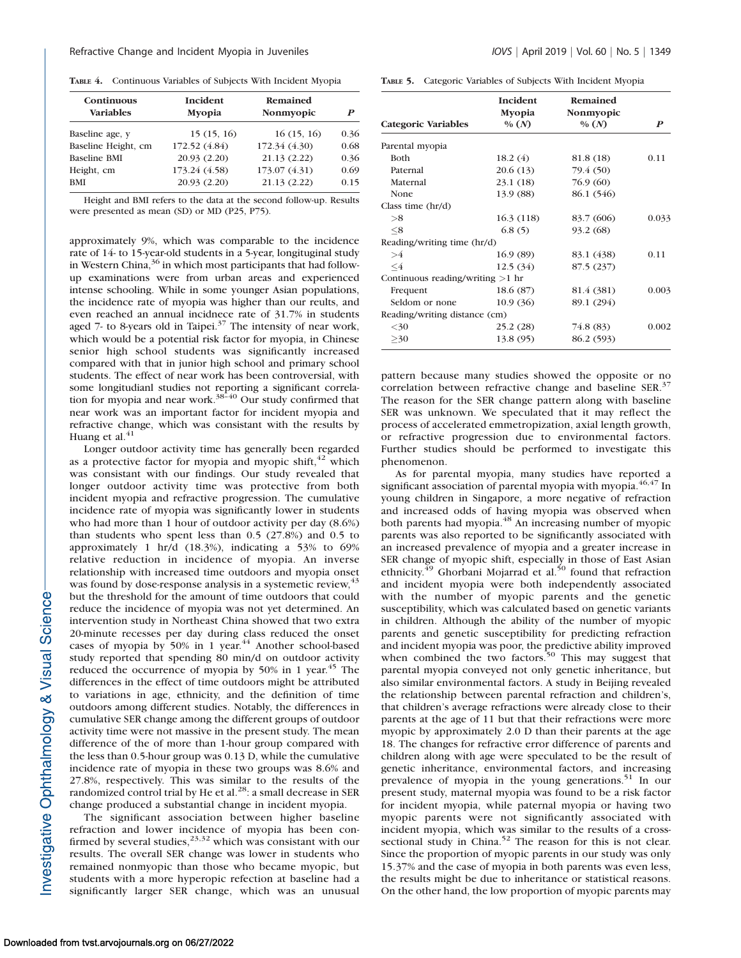TABLE 4. Continuous Variables of Subjects With Incident Myopia

| Continuous<br><b>Variables</b> | Incident<br>Mvopia | Remained<br>Nonmyopic | P    |  |
|--------------------------------|--------------------|-----------------------|------|--|
| Baseline age, y                | 15(15, 16)         | 16(15, 16)            | 0.36 |  |
| Baseline Height, cm            | 172.52 (4.84)      | 172.34 (4.30)         | 0.68 |  |
| <b>Baseline BMI</b>            | 20.93 (2.20)       | 21.13(2.22)           | 0.36 |  |
| Height, cm                     | 173.24 (4.58)      | 173.07 (4.31)         | 0.69 |  |
| <b>BMI</b>                     | 20.93 (2.20)       | 21.13 (2.22)          | 0.15 |  |

Height and BMI refers to the data at the second follow-up. Results were presented as mean (SD) or MD (P25, P75).

approximately 9%, which was comparable to the incidence rate of 14- to 15-year-old students in a 5-year, longituginal study in Western China,  $36$  in which most participants that had followup examinations were from urban areas and experienced intense schooling. While in some younger Asian populations, the incidence rate of myopia was higher than our reults, and even reached an annual incidnece rate of 31.7% in students aged 7- to 8-years old in Taipei. $37$  The intensity of near work, which would be a potential risk factor for myopia, in Chinese senior high school students was significantly increased compared with that in junior high school and primary school students. The effect of near work has been controversial, with some longitudianl studies not reporting a significant correla-<br>tion for myopia and near work.<sup>38–40</sup> Our study confirmed that near work was an important factor for incident myopia and refractive change, which was consistant with the results by Huang et al.<sup>41</sup>

Longer outdoor activity time has generally been regarded as a protective factor for myopia and myopic shift,  $42$  which was consistant with our findings. Our study revealed that longer outdoor activity time was protective from both incident myopia and refractive progression. The cumulative incidence rate of myopia was significantly lower in students who had more than 1 hour of outdoor activity per day (8.6%) than students who spent less than 0.5 (27.8%) and 0.5 to approximately 1 hr/d (18.3%), indicating a 53% to 69% relative reduction in incidence of myopia. An inverse relationship with increased time outdoors and myopia onset was found by dose-response analysis in a systemetic review, <sup>43</sup> but the threshold for the amount of time outdoors that could reduce the incidence of myopia was not yet determined. An intervention study in Northeast China showed that two extra 20-minute recesses per day during class reduced the onset cases of myopia by 50% in 1 year.<sup>44</sup> Another school-based study reported that spending 80 min/d on outdoor activity reduced the occurrence of myopia by  $50\%$  in 1 year.<sup>45</sup> The differences in the effect of time outdoors might be attributed to variations in age, ethnicity, and the definition of time outdoors among different studies. Notably, the differences in cumulative SER change among the different groups of outdoor activity time were not massive in the present study. The mean difference of the of more than 1-hour group compared with the less than 0.5-hour group was 0.13 D, while the cumulative incidence rate of myopia in these two groups was 8.6% and 27.8%, respectively. This was similar to the results of the randomized control trial by He et al.<sup>28</sup>: a small decrease in SER change produced a substantial change in incident myopia.

The significant association between higher baseline refraction and lower incidence of myopia has been confirmed by several studies,  $^{23,32}$  which was consistant with our results. The overall SER change was lower in students who remained nonmyopic than those who became myopic, but students with a more hyperopic refection at baseline had a significantly larger SER change, which was an unusual

TABLE 5. Categoric Variables of Subjects With Incident Myopia

|                                              | Incident   | Remained         |       |
|----------------------------------------------|------------|------------------|-------|
|                                              | Myopia     | <b>Nonmyopic</b> |       |
| Categoric Variables                          | $\%$ $(N)$ | $\% (N)$         | P     |
| Parental myopia                              |            |                  |       |
| Both                                         | 18.2(4)    | 81.8 (18)        | 0.11  |
| Paternal                                     | 20.6(13)   | 79.4 (50)        |       |
| Maternal                                     | 23.1 (18)  | 76.9 (60)        |       |
| None                                         | 13.9 (88)  | 86.1 (546)       |       |
| Class time $\frac{(\text{hr/d})}{\text{cm}}$ |            |                  |       |
| > 8                                          | 16.3 (118) | 83.7 (606)       | 0.033 |
| < 8                                          | 6.8(5)     | 93.2 (68)        |       |
| Reading/writing time (hr/d)                  |            |                  |       |
| >4                                           | 16.9(89)   | 83.1 (438)       | 0.11  |
| $\leq 4$                                     | 12.5(34)   | 87.5 (237)       |       |
| Continuous reading/writing $>1$ hr           |            |                  |       |
| Frequent                                     | 18.6(87)   | 81.4 (381)       | 0.003 |
| Seldom or none                               | 10.9(36)   | 89.1 (294)       |       |
| Reading/writing distance (cm)                |            |                  |       |
| $30$                                         | 25.2 (28)  | 74.8 (83)        | 0.002 |
| >30                                          | 13.8 (95)  | 86.2 (593)       |       |

pattern because many studies showed the opposite or no correlation between refractive change and baseline SER.<sup>37</sup> The reason for the SER change pattern along with baseline SER was unknown. We speculated that it may reflect the process of accelerated emmetropization, axial length growth, or refractive progression due to environmental factors. Further studies should be performed to investigate this phenomenon.

As for parental myopia, many studies have reported a significant association of parental myopia with myopia. $46,47$  In young children in Singapore, a more negative of refraction and increased odds of having myopia was observed when both parents had myopia.<sup>48</sup> An increasing number of myopic parents was also reported to be significantly associated with an increased prevalence of myopia and a greater increase in SER change of myopic shift, especially in those of East Asian ethnicity.<sup>49</sup> Ghorbani Mojarrad et al.<sup>50</sup> found that refraction and incident myopia were both independently associated with the number of myopic parents and the genetic susceptibility, which was calculated based on genetic variants in children. Although the ability of the number of myopic parents and genetic susceptibility for predicting refraction and incident myopia was poor, the predictive ability improved when combined the two factors.<sup>50</sup> This may suggest that parental myopia conveyed not only genetic inheritance, but also similar environmental factors. A study in Beijing revealed the relationship between parental refraction and children's, that children's average refractions were already close to their parents at the age of 11 but that their refractions were more myopic by approximately 2.0 D than their parents at the age 18. The changes for refractive error difference of parents and children along with age were speculated to be the result of genetic inheritance, environmental factors, and increasing prevalence of myopia in the young generations. $51$  In our present study, maternal myopia was found to be a risk factor for incident myopia, while paternal myopia or having two myopic parents were not significantly associated with incident myopia, which was similar to the results of a crosssectional study in China.<sup>52</sup> The reason for this is not clear. Since the proportion of myopic parents in our study was only 15.37% and the case of myopia in both parents was even less, the results might be due to inheritance or statistical reasons. On the other hand, the low proportion of myopic parents may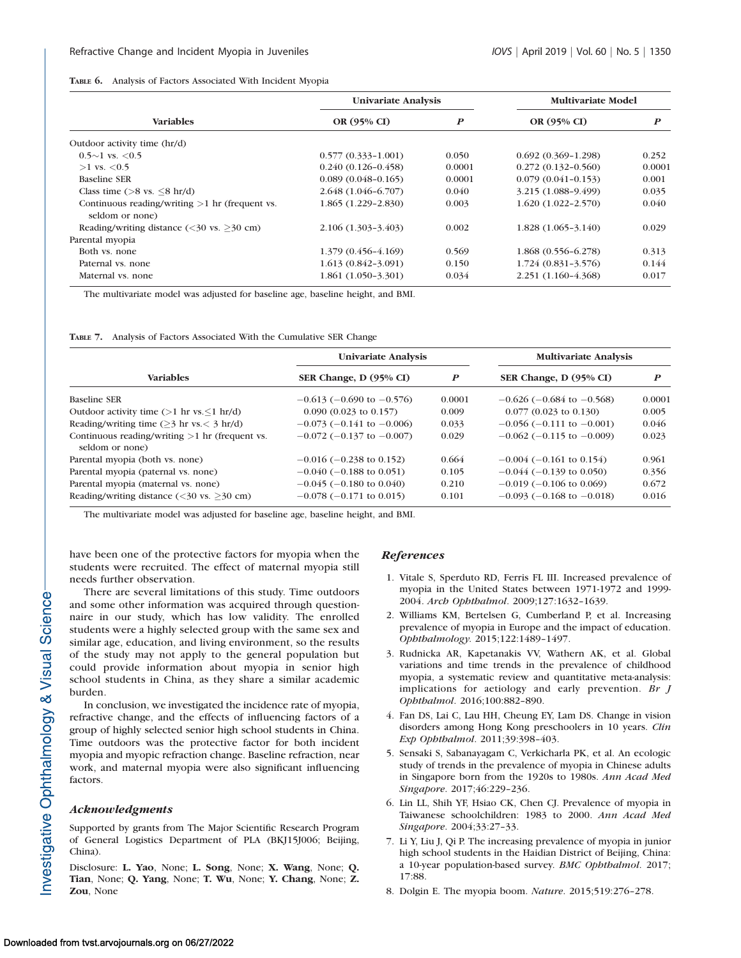| Тавlе 6. |  |  | Analysis of Factors Associated With Incident Myopia |  |  |  |
|----------|--|--|-----------------------------------------------------|--|--|--|
|----------|--|--|-----------------------------------------------------|--|--|--|

|                                                                     | <b>Univariate Analysis</b> |                  | <b>Multivariate Model</b> |                  |  |
|---------------------------------------------------------------------|----------------------------|------------------|---------------------------|------------------|--|
| <b>Variables</b>                                                    | OR (95% CI)                | $\boldsymbol{P}$ | OR (95% CI)               | $\boldsymbol{P}$ |  |
| Outdoor activity time (hr/d)                                        |                            |                  |                           |                  |  |
| $0.5 \sim 1$ vs. $< 0.5$                                            | $0.577(0.333 - 1.001)$     | 0.050            | $0.692(0.369 - 1.298)$    | 0.252            |  |
| $>1$ vs. $< 0.5$                                                    | $0.240(0.126 - 0.458)$     | 0.0001           | $0.272(0.132 - 0.560)$    | 0.0001           |  |
| <b>Baseline SER</b>                                                 | $0.089(0.048 - 0.165)$     | 0.0001           | $0.079(0.041 - 0.153)$    | 0.001            |  |
| Class time $($ >8 vs. $\leq$ 8 hr/d)                                | 2.648 (1.046-6.707)        | 0.040            | 3.215 (1.088-9.499)       | 0.035            |  |
| Continuous reading/writing $>1$ hr (frequent vs.<br>seldom or none) | $1.865(1.229 - 2.830)$     | 0.003            | $1.620(1.022 - 2.570)$    | 0.040            |  |
| Reading/writing distance $(30 \text{ vs. } >30 \text{ cm})$         | $2.106(1.303 - 3.403)$     | 0.002            | $1.828(1.065-3.140)$      | 0.029            |  |
| Parental myopia                                                     |                            |                  |                           |                  |  |
| Both vs. none                                                       | 1.379 (0.456-4.169)        | 0.569            | 1.868 (0.556-6.278)       | 0.313            |  |
| Paternal vs. none                                                   | $1.613(0.842 - 3.091)$     | 0.150            | $1.724(0.831 - 3.576)$    | 0.144            |  |
| Maternal vs. none                                                   | 1.861 (1.050-3.301)        | 0.034            | $2.251(1.160-4.368)$      | 0.017            |  |

The multivariate model was adjusted for baseline age, baseline height, and BMI.

|  |  |  |  |  | <b>TABLE 7.</b> Analysis of Factors Associated With the Cumulative SER Change |  |  |
|--|--|--|--|--|-------------------------------------------------------------------------------|--|--|
|--|--|--|--|--|-------------------------------------------------------------------------------|--|--|

|                                                                     | <b>Univariate Analysis</b>        |                  | <b>Multivariate Analysis</b>      |        |  |
|---------------------------------------------------------------------|-----------------------------------|------------------|-----------------------------------|--------|--|
| <b>Variables</b>                                                    | SER Change, D (95% CI)            | $\boldsymbol{P}$ | SER Change, D (95% CI)            | P      |  |
| Baseline SER                                                        | $-0.613$ (-0.690 to -0.576)       | 0.0001           | $-0.626$ ( $-0.684$ to $-0.568$ ) | 0.0001 |  |
| Outdoor activity time $(>1 \text{ hr vs.} \le 1 \text{ hr/d})$      | $0.090(0.023 \text{ to } 0.157)$  | 0.009            | $0.077(0.023 \text{ to } 0.130)$  | 0.005  |  |
| Reading/writing time ( $>3$ hr vs. < 3 hr/d)                        | $-0.073$ ( $-0.141$ to $-0.006$ ) | 0.033            | $-0.056$ ( $-0.111$ to $-0.001$ ) | 0.046  |  |
| Continuous reading/writing $>1$ hr (frequent vs.<br>seldom or none) | $-0.072$ (-0.137 to $-0.007$ )    | 0.029            | $-0.062$ ( $-0.115$ to $-0.009$ ) | 0.023  |  |
| Parental myopia (both vs. none)                                     | $-0.016$ ( $-0.238$ to 0.152)     | 0.664            | $-0.004$ ( $-0.161$ to 0.154)     | 0.961  |  |
| Parental myopia (paternal vs. none)                                 | $-0.040$ ( $-0.188$ to 0.051)     | 0.105            | $-0.044$ ( $-0.139$ to 0.050)     | 0.356  |  |
| Parental myopia (maternal vs. none)                                 | $-0.045$ ( $-0.180$ to 0.040)     | 0.210            | $-0.019$ ( $-0.106$ to 0.069)     | 0.672  |  |
| Reading/writing distance $(30 \text{ vs. } > 30 \text{ cm})$        | $-0.078$ ( $-0.171$ to 0.015)     | 0.101            | $-0.093$ ( $-0.168$ to $-0.018$ ) | 0.016  |  |

The multivariate model was adjusted for baseline age, baseline height, and BMI.

have been one of the protective factors for myopia when the students were recruited. The effect of maternal myopia still needs further observation.

There are several limitations of this study. Time outdoors and some other information was acquired through questionnaire in our study, which has low validity. The enrolled students were a highly selected group with the same sex and similar age, education, and living environment, so the results of the study may not apply to the general population but could provide information about myopia in senior high school students in China, as they share a similar academic burden.

In conclusion, we investigated the incidence rate of myopia, refractive change, and the effects of influencing factors of a group of highly selected senior high school students in China. Time outdoors was the protective factor for both incident myopia and myopic refraction change. Baseline refraction, near work, and maternal myopia were also significant influencing factors.

#### Acknowledgments

Supported by grants from The Major Scientific Research Program of General Logistics Department of PLA (BKJ15J006; Beijing, China).

Disclosure: L. Yao, None; L. Song, None; X. Wang, None; Q. Tian, None; Q. Yang, None; T. Wu, None; Y. Chang, None; Z. Zou, None

## References

- 1. Vitale S, Sperduto RD, Ferris FL III. Increased prevalence of myopia in the United States between 1971-1972 and 1999- 2004. Arch Ophthalmol. 2009;127:1632–1639.
- 2. Williams KM, Bertelsen G, Cumberland P, et al. Increasing prevalence of myopia in Europe and the impact of education. Ophthalmology. 2015;122:1489–1497.
- 3. Rudnicka AR, Kapetanakis VV, Wathern AK, et al. Global variations and time trends in the prevalence of childhood myopia, a systematic review and quantitative meta-analysis: implications for aetiology and early prevention. Br J Ophthalmol. 2016;100:882–890.
- 4. Fan DS, Lai C, Lau HH, Cheung EY, Lam DS. Change in vision disorders among Hong Kong preschoolers in 10 years. Clin Exp Ophthalmol. 2011;39:398–403.
- 5. Sensaki S, Sabanayagam C, Verkicharla PK, et al. An ecologic study of trends in the prevalence of myopia in Chinese adults in Singapore born from the 1920s to 1980s. Ann Acad Med Singapore. 2017;46:229–236.
- 6. Lin LL, Shih YF, Hsiao CK, Chen CJ. Prevalence of myopia in Taiwanese schoolchildren: 1983 to 2000. Ann Acad Med Singapore. 2004;33:27–33.
- 7. Li Y, Liu J, Qi P. The increasing prevalence of myopia in junior high school students in the Haidian District of Beijing, China: a 10-year population-based survey. BMC Ophthalmol. 2017; 17:88.
- 8. Dolgin E. The myopia boom. Nature. 2015;519:276–278.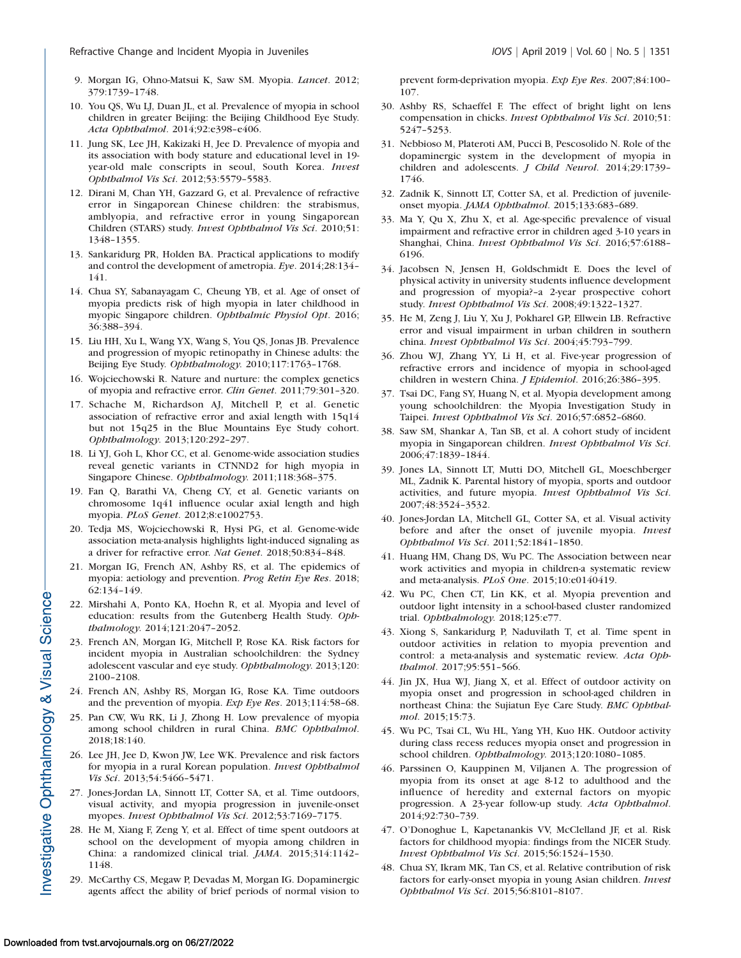- 9. Morgan IG, Ohno-Matsui K, Saw SM. Myopia. Lancet. 2012; 379:1739–1748.
- 10. You QS, Wu LJ, Duan JL, et al. Prevalence of myopia in school children in greater Beijing: the Beijing Childhood Eye Study. Acta Ophthalmol. 2014;92:e398–e406.
- 11. Jung SK, Lee JH, Kakizaki H, Jee D. Prevalence of myopia and its association with body stature and educational level in 19 year-old male conscripts in seoul, South Korea. Invest Ophthalmol Vis Sci. 2012;53:5579–5583.
- 12. Dirani M, Chan YH, Gazzard G, et al. Prevalence of refractive error in Singaporean Chinese children: the strabismus, amblyopia, and refractive error in young Singaporean Children (STARS) study. Invest Ophthalmol Vis Sci. 2010;51: 1348–1355.
- 13. Sankaridurg PR, Holden BA. Practical applications to modify and control the development of ametropia. Eye. 2014;28:134– 141.
- 14. Chua SY, Sabanayagam C, Cheung YB, et al. Age of onset of myopia predicts risk of high myopia in later childhood in myopic Singapore children. Ophthalmic Physiol Opt. 2016; 36:388–394.
- 15. Liu HH, Xu L, Wang YX, Wang S, You QS, Jonas JB. Prevalence and progression of myopic retinopathy in Chinese adults: the Beijing Eye Study. Ophthalmology. 2010;117:1763–1768.
- 16. Wojciechowski R. Nature and nurture: the complex genetics of myopia and refractive error. Clin Genet. 2011;79:301–320.
- 17. Schache M, Richardson AJ, Mitchell P, et al. Genetic association of refractive error and axial length with 15q14 but not 15q25 in the Blue Mountains Eye Study cohort. Ophthalmology. 2013;120:292–297.
- 18. Li YJ, Goh L, Khor CC, et al. Genome-wide association studies reveal genetic variants in CTNND2 for high myopia in Singapore Chinese. Ophthalmology. 2011;118:368-375.
- 19. Fan Q, Barathi VA, Cheng CY, et al. Genetic variants on chromosome 1q41 influence ocular axial length and high myopia. PLoS Genet. 2012;8:e1002753.
- 20. Tedja MS, Wojciechowski R, Hysi PG, et al. Genome-wide association meta-analysis highlights light-induced signaling as a driver for refractive error. Nat Genet. 2018;50:834–848.
- 21. Morgan IG, French AN, Ashby RS, et al. The epidemics of myopia: aetiology and prevention. Prog Retin Eye Res. 2018; 62:134–149.
- 22. Mirshahi A, Ponto KA, Hoehn R, et al. Myopia and level of education: results from the Gutenberg Health Study. Ophthalmology. 2014;121:2047–2052.
- 23. French AN, Morgan IG, Mitchell P, Rose KA. Risk factors for incident myopia in Australian schoolchildren: the Sydney adolescent vascular and eye study. Ophthalmology. 2013;120: 2100–2108.
- 24. French AN, Ashby RS, Morgan IG, Rose KA. Time outdoors and the prevention of myopia. Exp Eye Res. 2013;114:58–68.
- 25. Pan CW, Wu RK, Li J, Zhong H. Low prevalence of myopia among school children in rural China. BMC Ophthalmol. 2018;18:140.
- 26. Lee JH, Jee D, Kwon JW, Lee WK. Prevalence and risk factors for myopia in a rural Korean population. Invest Ophthalmol Vis Sci. 2013;54:5466–5471.
- 27. Jones-Jordan LA, Sinnott LT, Cotter SA, et al. Time outdoors, visual activity, and myopia progression in juvenile-onset myopes. Invest Ophthalmol Vis Sci. 2012;53:7169–7175.
- 28. He M, Xiang F, Zeng Y, et al. Effect of time spent outdoors at school on the development of myopia among children in China: a randomized clinical trial. JAMA. 2015;314:1142– 1148.
- 29. McCarthy CS, Megaw P, Devadas M, Morgan IG. Dopaminergic agents affect the ability of brief periods of normal vision to

prevent form-deprivation myopia. Exp Eye Res. 2007;84:100– 107.

- 30. Ashby RS, Schaeffel F. The effect of bright light on lens compensation in chicks. Invest Ophthalmol Vis Sci. 2010;51: 5247–5253.
- 31. Nebbioso M, Plateroti AM, Pucci B, Pescosolido N. Role of the dopaminergic system in the development of myopia in children and adolescents. J Child Neurol. 2014;29:1739-1746.
- 32. Zadnik K, Sinnott LT, Cotter SA, et al. Prediction of juvenileonset myopia. JAMA Ophthalmol. 2015;133:683–689.
- 33. Ma Y, Qu X, Zhu X, et al. Age-specific prevalence of visual impairment and refractive error in children aged 3-10 years in Shanghai, China. Invest Ophthalmol Vis Sci. 2016;57:6188– 6196.
- 34. Jacobsen N, Jensen H, Goldschmidt E. Does the level of physical activity in university students influence development and progression of myopia?–a 2-year prospective cohort study. Invest Ophthalmol Vis Sci. 2008;49:1322–1327.
- 35. He M, Zeng J, Liu Y, Xu J, Pokharel GP, Ellwein LB. Refractive error and visual impairment in urban children in southern china. Invest Ophthalmol Vis Sci. 2004;45:793–799.
- 36. Zhou WJ, Zhang YY, Li H, et al. Five-year progression of refractive errors and incidence of myopia in school-aged children in western China. J Epidemiol. 2016;26:386–395.
- 37. Tsai DC, Fang SY, Huang N, et al. Myopia development among young schoolchildren: the Myopia Investigation Study in Taipei. Invest Ophthalmol Vis Sci. 2016;57:6852–6860.
- 38. Saw SM, Shankar A, Tan SB, et al. A cohort study of incident myopia in Singaporean children. Invest Ophthalmol Vis Sci. 2006;47:1839–1844.
- 39. Jones LA, Sinnott LT, Mutti DO, Mitchell GL, Moeschberger ML, Zadnik K. Parental history of myopia, sports and outdoor activities, and future myopia. Invest Ophthalmol Vis Sci. 2007;48:3524–3532.
- 40. Jones-Jordan LA, Mitchell GL, Cotter SA, et al. Visual activity before and after the onset of juvenile myopia. Invest Ophthalmol Vis Sci. 2011;52:1841–1850.
- 41. Huang HM, Chang DS, Wu PC. The Association between near work activities and myopia in children-a systematic review and meta-analysis. PLoS One. 2015;10:e0140419.
- 42. Wu PC, Chen CT, Lin KK, et al. Myopia prevention and outdoor light intensity in a school-based cluster randomized trial. Ophthalmology. 2018;125:e77.
- 43. Xiong S, Sankaridurg P, Naduvilath T, et al. Time spent in outdoor activities in relation to myopia prevention and control: a meta-analysis and systematic review. Acta Ophthalmol. 2017;95:551–566.
- 44. Jin JX, Hua WJ, Jiang X, et al. Effect of outdoor activity on myopia onset and progression in school-aged children in northeast China: the Sujiatun Eye Care Study. BMC Ophthalmol. 2015;15:73.
- 45. Wu PC, Tsai CL, Wu HL, Yang YH, Kuo HK. Outdoor activity during class recess reduces myopia onset and progression in school children. Ophthalmology. 2013;120:1080–1085.
- 46. Parssinen O, Kauppinen M, Viljanen A. The progression of myopia from its onset at age 8-12 to adulthood and the influence of heredity and external factors on myopic progression. A 23-year follow-up study. Acta Ophthalmol. 2014;92:730–739.
- 47. O'Donoghue L, Kapetanankis VV, McClelland JF, et al. Risk factors for childhood myopia: findings from the NICER Study. Invest Ophthalmol Vis Sci. 2015;56:1524–1530.
- 48. Chua SY, Ikram MK, Tan CS, et al. Relative contribution of risk factors for early-onset myopia in young Asian children. Invest Ophthalmol Vis Sci. 2015;56:8101–8107.